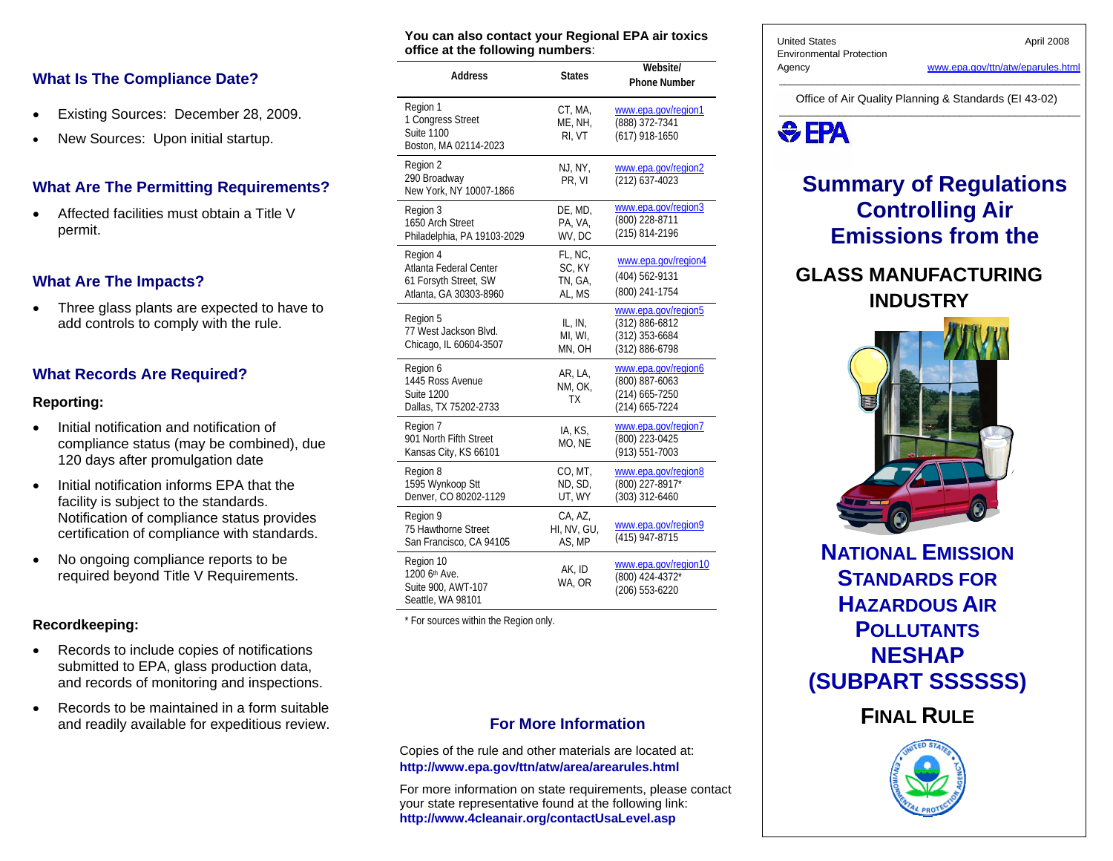### **What Is The Compliance Date?**

- Existing Sources: December 28, 2009.
- •New Sources: Upon initial startup.

### **What Are The Permitting Requirements?**

• Affected facilities must obtain a Title V permit.

### **What Are The Impacts?**

• Three glass plants are expected to have to add controls to comply with the rule.

### **What Records Are Required?**

#### **Reporting:**

- Initial notification and notification of compliance status (may be combined), due 120 days after promulgation date
- Initial notification informs EPA that the facility is subject to the standards. Notification of compliance status provides certification of compliance with standards.
- No ongoing compliance reports to be required beyond Title V Requirements.

#### **Recordkeeping:**

- Records to include copies of notifications submitted to EPA, glass production data, and records of monitoring and inspections.
- Records to be maintained in a form suitable and readily available for expeditious review.

| office at the following numbers:                                                      |                                        |                                                                             |  |  |
|---------------------------------------------------------------------------------------|----------------------------------------|-----------------------------------------------------------------------------|--|--|
| <b>Address</b>                                                                        | <b>States</b>                          | Website/<br><b>Phone Number</b>                                             |  |  |
| Region 1<br>1 Congress Street<br>Suite 1100<br>Boston, MA 02114-2023                  | CT, MA,<br>ME, NH,<br>RI, VT           | www.epa.gov/region1<br>(888) 372-7341<br>(617) 918-1650                     |  |  |
| Region 2<br>290 Broadway<br>New York, NY 10007-1866                                   | NJ, NY,<br>PR, VI                      | www.epa.gov/region2<br>(212) 637-4023                                       |  |  |
| Region 3<br>1650 Arch Street<br>Philadelphia, PA 19103-2029                           | DE, MD,<br>PA, VA,<br>WV, DC           | www.epa.gov/region3<br>(800) 228-8711<br>(215) 814-2196                     |  |  |
| Region 4<br>Atlanta Federal Center<br>61 Forsyth Street, SW<br>Atlanta, GA 30303-8960 | FL, NC,<br>SC, KY<br>TN, GA,<br>AL, MS | www.epa.gov/region4<br>(404) 562-9131<br>(800) 241-1754                     |  |  |
| Region 5<br>77 West Jackson Blvd.<br>Chicago, IL 60604-3507                           | IL, IN,<br>MI, WI,<br>MN, OH           | www.epa.gov/region5<br>(312) 886-6812<br>(312) 353-6684<br>(312) 886-6798   |  |  |
| Region 6<br>1445 Ross Avenue<br><b>Suite 1200</b><br>Dallas, TX 75202-2733            | AR, LA,<br>NM, OK,<br>TХ               | www.epa.gov/region6<br>(800) 887-6063<br>$(214)$ 665-7250<br>(214) 665-7224 |  |  |
| Region 7<br>901 North Fifth Street<br>Kansas City, KS 66101                           | IA, KS,<br>MO, NE                      | www.epa.gov/region7<br>(800) 223-0425<br>(913) 551-7003                     |  |  |
| Region 8<br>1595 Wynkoop Stt<br>Denver, CO 80202-1129                                 | CO, MT,<br>ND, SD,<br>UT, WY           | www.epa.gov/region8<br>(800) 227-8917*<br>(303) 312-6460                    |  |  |
| Region 9<br>75 Hawthorne Street<br>San Francisco, CA 94105                            | CA, AZ,<br>HI, NV, GU,<br>AS, MP       | www.epa.gov/region9<br>(415) 947-8715                                       |  |  |
| Region 10<br>$1200L + M$                                                              | AK.ID                                  | www.epa.gov/region10                                                        |  |  |

**You can also contact your Regional EPA air toxics** 

\* For sources within the Region only.

1200 6th Ave. Suite 900, AWT-107 Seattle, WA 98101

### **For More Information**

WA, OR

(800) 424-4372\* (206) 553-6220

Copies of the rule and other materials are located at: **http://www.epa.gov/ttn/atw/area/arearules.html** 

For more information on state requirements, please contact your state representative found at the following link: **http://www.4cleanair.org/contactUsaLevel.asp** 

United States **April 2008** Environmental Protection

Agency www.epa.gov/ttn/atw/eparules.html

\_\_\_\_\_\_\_\_\_\_\_\_\_\_\_\_\_\_\_\_\_\_\_\_\_\_\_\_\_\_\_\_\_\_\_\_\_\_\_\_\_\_\_\_\_\_\_\_\_\_\_\_\_\_\_ Office of Air Quality Planning & Standards (EI 43-02)



# **Summary of Regulations Controlling Air Emissions from the**

# **GLASS MANUFACTURING INDUSTRY**



**NATIONAL EMISSION STANDARDS FOR HAZARDOUS AIR POLLUTANTSNESHAP (SUBPART SSSSSS)** 

**FINAL RULE**